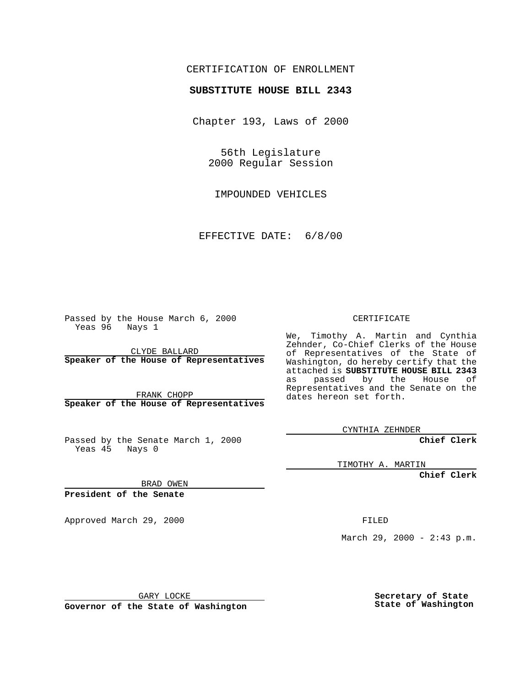## CERTIFICATION OF ENROLLMENT

## **SUBSTITUTE HOUSE BILL 2343**

Chapter 193, Laws of 2000

56th Legislature 2000 Regular Session

IMPOUNDED VEHICLES

EFFECTIVE DATE: 6/8/00

Passed by the House March 6, 2000 Yeas 96 Nays 1

CLYDE BALLARD **Speaker of the House of Representatives**

FRANK CHOPP **Speaker of the House of Representatives**

Passed by the Senate March 1, 2000 Yeas 45 Nays 0

CERTIFICATE

We, Timothy A. Martin and Cynthia Zehnder, Co-Chief Clerks of the House of Representatives of the State of Washington, do hereby certify that the attached is **SUBSTITUTE HOUSE BILL 2343** as passed by the House of Representatives and the Senate on the dates hereon set forth.

CYNTHIA ZEHNDER

**Chief Clerk**

TIMOTHY A. MARTIN

**Chief Clerk**

BRAD OWEN

**President of the Senate**

Approved March 29, 2000 FILED

March 29, 2000 - 2:43 p.m.

GARY LOCKE

**Governor of the State of Washington**

**Secretary of State State of Washington**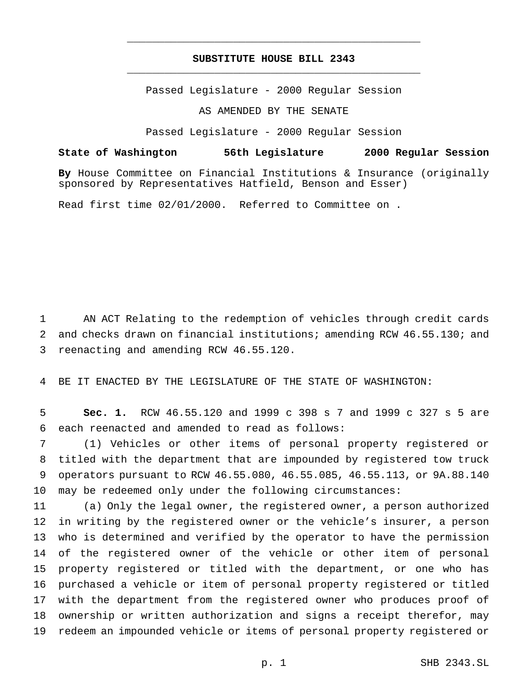## **SUBSTITUTE HOUSE BILL 2343** \_\_\_\_\_\_\_\_\_\_\_\_\_\_\_\_\_\_\_\_\_\_\_\_\_\_\_\_\_\_\_\_\_\_\_\_\_\_\_\_\_\_\_\_\_\_\_

\_\_\_\_\_\_\_\_\_\_\_\_\_\_\_\_\_\_\_\_\_\_\_\_\_\_\_\_\_\_\_\_\_\_\_\_\_\_\_\_\_\_\_\_\_\_\_

Passed Legislature - 2000 Regular Session

AS AMENDED BY THE SENATE

Passed Legislature - 2000 Regular Session

**State of Washington 56th Legislature 2000 Regular Session**

**By** House Committee on Financial Institutions & Insurance (originally sponsored by Representatives Hatfield, Benson and Esser)

Read first time 02/01/2000. Referred to Committee on .

 AN ACT Relating to the redemption of vehicles through credit cards and checks drawn on financial institutions; amending RCW 46.55.130; and reenacting and amending RCW 46.55.120.

BE IT ENACTED BY THE LEGISLATURE OF THE STATE OF WASHINGTON:

 **Sec. 1.** RCW 46.55.120 and 1999 c 398 s 7 and 1999 c 327 s 5 are each reenacted and amended to read as follows:

 (1) Vehicles or other items of personal property registered or titled with the department that are impounded by registered tow truck operators pursuant to RCW 46.55.080, 46.55.085, 46.55.113, or 9A.88.140 may be redeemed only under the following circumstances:

 (a) Only the legal owner, the registered owner, a person authorized in writing by the registered owner or the vehicle's insurer, a person who is determined and verified by the operator to have the permission of the registered owner of the vehicle or other item of personal property registered or titled with the department, or one who has purchased a vehicle or item of personal property registered or titled with the department from the registered owner who produces proof of ownership or written authorization and signs a receipt therefor, may redeem an impounded vehicle or items of personal property registered or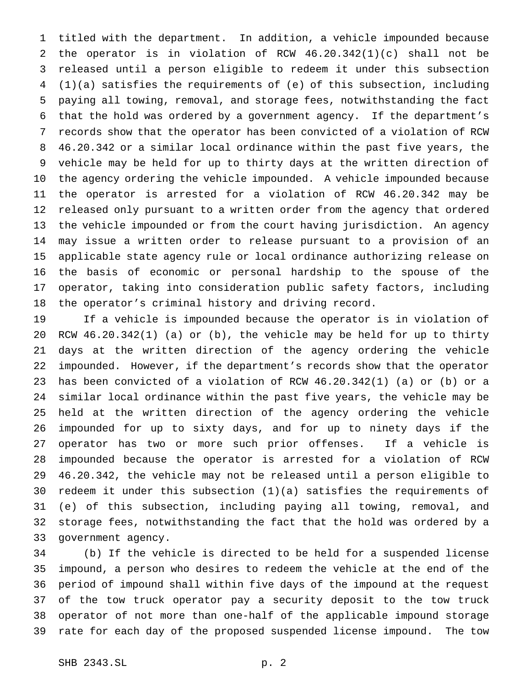titled with the department. In addition, a vehicle impounded because the operator is in violation of RCW 46.20.342(1)(c) shall not be released until a person eligible to redeem it under this subsection (1)(a) satisfies the requirements of (e) of this subsection, including paying all towing, removal, and storage fees, notwithstanding the fact that the hold was ordered by a government agency. If the department's records show that the operator has been convicted of a violation of RCW 46.20.342 or a similar local ordinance within the past five years, the vehicle may be held for up to thirty days at the written direction of the agency ordering the vehicle impounded. A vehicle impounded because the operator is arrested for a violation of RCW 46.20.342 may be released only pursuant to a written order from the agency that ordered the vehicle impounded or from the court having jurisdiction. An agency may issue a written order to release pursuant to a provision of an applicable state agency rule or local ordinance authorizing release on the basis of economic or personal hardship to the spouse of the operator, taking into consideration public safety factors, including the operator's criminal history and driving record.

 If a vehicle is impounded because the operator is in violation of RCW 46.20.342(1) (a) or (b), the vehicle may be held for up to thirty days at the written direction of the agency ordering the vehicle impounded. However, if the department's records show that the operator has been convicted of a violation of RCW 46.20.342(1) (a) or (b) or a similar local ordinance within the past five years, the vehicle may be held at the written direction of the agency ordering the vehicle impounded for up to sixty days, and for up to ninety days if the operator has two or more such prior offenses. If a vehicle is impounded because the operator is arrested for a violation of RCW 46.20.342, the vehicle may not be released until a person eligible to redeem it under this subsection (1)(a) satisfies the requirements of (e) of this subsection, including paying all towing, removal, and storage fees, notwithstanding the fact that the hold was ordered by a government agency.

 (b) If the vehicle is directed to be held for a suspended license impound, a person who desires to redeem the vehicle at the end of the period of impound shall within five days of the impound at the request of the tow truck operator pay a security deposit to the tow truck operator of not more than one-half of the applicable impound storage rate for each day of the proposed suspended license impound. The tow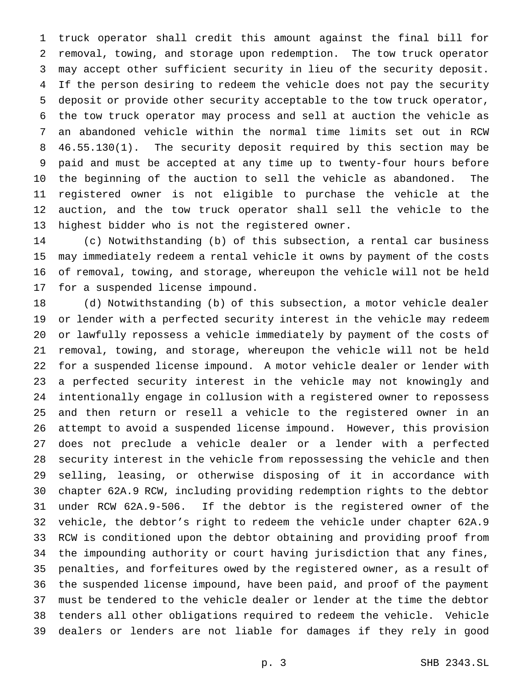truck operator shall credit this amount against the final bill for removal, towing, and storage upon redemption. The tow truck operator may accept other sufficient security in lieu of the security deposit. If the person desiring to redeem the vehicle does not pay the security deposit or provide other security acceptable to the tow truck operator, the tow truck operator may process and sell at auction the vehicle as an abandoned vehicle within the normal time limits set out in RCW 46.55.130(1). The security deposit required by this section may be paid and must be accepted at any time up to twenty-four hours before the beginning of the auction to sell the vehicle as abandoned. The registered owner is not eligible to purchase the vehicle at the auction, and the tow truck operator shall sell the vehicle to the highest bidder who is not the registered owner.

 (c) Notwithstanding (b) of this subsection, a rental car business may immediately redeem a rental vehicle it owns by payment of the costs of removal, towing, and storage, whereupon the vehicle will not be held for a suspended license impound.

 (d) Notwithstanding (b) of this subsection, a motor vehicle dealer or lender with a perfected security interest in the vehicle may redeem or lawfully repossess a vehicle immediately by payment of the costs of removal, towing, and storage, whereupon the vehicle will not be held for a suspended license impound. A motor vehicle dealer or lender with a perfected security interest in the vehicle may not knowingly and intentionally engage in collusion with a registered owner to repossess and then return or resell a vehicle to the registered owner in an attempt to avoid a suspended license impound. However, this provision does not preclude a vehicle dealer or a lender with a perfected security interest in the vehicle from repossessing the vehicle and then selling, leasing, or otherwise disposing of it in accordance with chapter 62A.9 RCW, including providing redemption rights to the debtor under RCW 62A.9-506. If the debtor is the registered owner of the vehicle, the debtor's right to redeem the vehicle under chapter 62A.9 RCW is conditioned upon the debtor obtaining and providing proof from the impounding authority or court having jurisdiction that any fines, penalties, and forfeitures owed by the registered owner, as a result of the suspended license impound, have been paid, and proof of the payment must be tendered to the vehicle dealer or lender at the time the debtor tenders all other obligations required to redeem the vehicle. Vehicle dealers or lenders are not liable for damages if they rely in good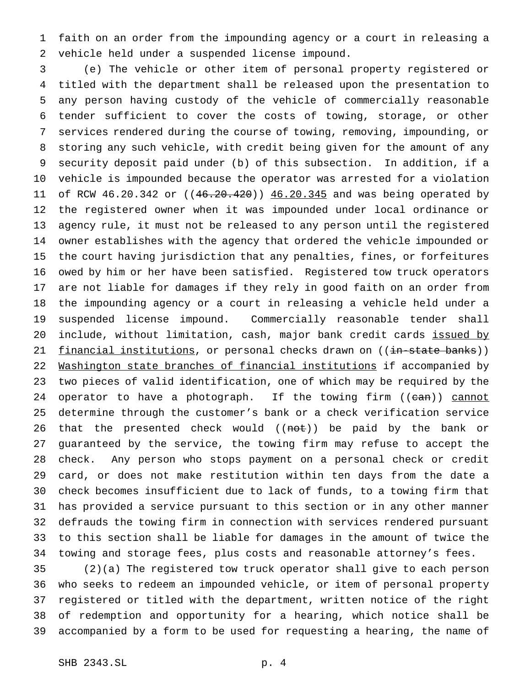faith on an order from the impounding agency or a court in releasing a vehicle held under a suspended license impound.

 (e) The vehicle or other item of personal property registered or titled with the department shall be released upon the presentation to any person having custody of the vehicle of commercially reasonable tender sufficient to cover the costs of towing, storage, or other services rendered during the course of towing, removing, impounding, or storing any such vehicle, with credit being given for the amount of any security deposit paid under (b) of this subsection. In addition, if a vehicle is impounded because the operator was arrested for a violation 11 of RCW 46.20.342 or ((46.20.420)) 46.20.345 and was being operated by the registered owner when it was impounded under local ordinance or agency rule, it must not be released to any person until the registered owner establishes with the agency that ordered the vehicle impounded or the court having jurisdiction that any penalties, fines, or forfeitures owed by him or her have been satisfied. Registered tow truck operators are not liable for damages if they rely in good faith on an order from the impounding agency or a court in releasing a vehicle held under a suspended license impound. Commercially reasonable tender shall 20 include, without limitation, cash, major bank credit cards issued by 21 financial institutions, or personal checks drawn on ((in-state banks)) 22 Washington state branches of financial institutions if accompanied by two pieces of valid identification, one of which may be required by the 24 operator to have a photograph. If the towing firm ((can)) cannot determine through the customer's bank or a check verification service 26 that the presented check would ((not)) be paid by the bank or guaranteed by the service, the towing firm may refuse to accept the check. Any person who stops payment on a personal check or credit card, or does not make restitution within ten days from the date a check becomes insufficient due to lack of funds, to a towing firm that has provided a service pursuant to this section or in any other manner defrauds the towing firm in connection with services rendered pursuant to this section shall be liable for damages in the amount of twice the towing and storage fees, plus costs and reasonable attorney's fees.

 (2)(a) The registered tow truck operator shall give to each person who seeks to redeem an impounded vehicle, or item of personal property registered or titled with the department, written notice of the right of redemption and opportunity for a hearing, which notice shall be accompanied by a form to be used for requesting a hearing, the name of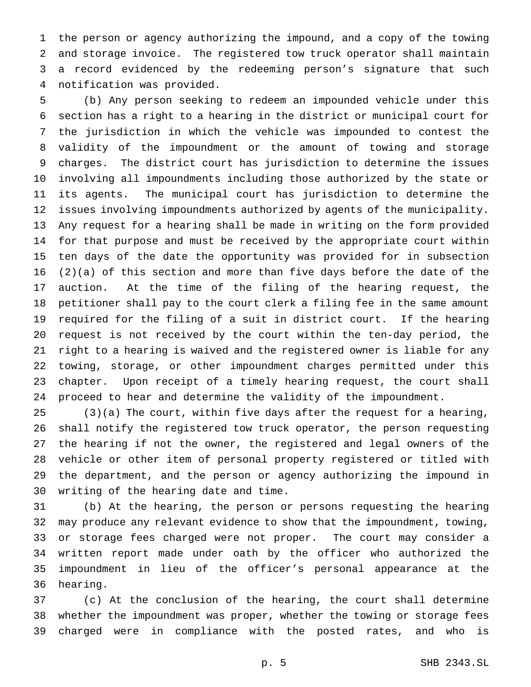the person or agency authorizing the impound, and a copy of the towing and storage invoice. The registered tow truck operator shall maintain a record evidenced by the redeeming person's signature that such notification was provided.

 (b) Any person seeking to redeem an impounded vehicle under this section has a right to a hearing in the district or municipal court for the jurisdiction in which the vehicle was impounded to contest the validity of the impoundment or the amount of towing and storage charges. The district court has jurisdiction to determine the issues involving all impoundments including those authorized by the state or its agents. The municipal court has jurisdiction to determine the issues involving impoundments authorized by agents of the municipality. Any request for a hearing shall be made in writing on the form provided for that purpose and must be received by the appropriate court within ten days of the date the opportunity was provided for in subsection (2)(a) of this section and more than five days before the date of the auction. At the time of the filing of the hearing request, the petitioner shall pay to the court clerk a filing fee in the same amount required for the filing of a suit in district court. If the hearing request is not received by the court within the ten-day period, the right to a hearing is waived and the registered owner is liable for any towing, storage, or other impoundment charges permitted under this chapter. Upon receipt of a timely hearing request, the court shall proceed to hear and determine the validity of the impoundment.

 (3)(a) The court, within five days after the request for a hearing, shall notify the registered tow truck operator, the person requesting the hearing if not the owner, the registered and legal owners of the vehicle or other item of personal property registered or titled with the department, and the person or agency authorizing the impound in writing of the hearing date and time.

 (b) At the hearing, the person or persons requesting the hearing may produce any relevant evidence to show that the impoundment, towing, or storage fees charged were not proper. The court may consider a written report made under oath by the officer who authorized the impoundment in lieu of the officer's personal appearance at the hearing.

 (c) At the conclusion of the hearing, the court shall determine whether the impoundment was proper, whether the towing or storage fees charged were in compliance with the posted rates, and who is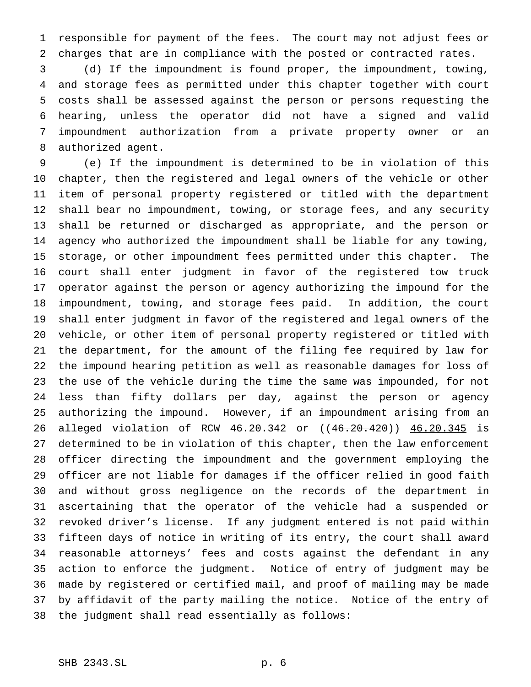responsible for payment of the fees. The court may not adjust fees or charges that are in compliance with the posted or contracted rates.

 (d) If the impoundment is found proper, the impoundment, towing, and storage fees as permitted under this chapter together with court costs shall be assessed against the person or persons requesting the hearing, unless the operator did not have a signed and valid impoundment authorization from a private property owner or an authorized agent.

 (e) If the impoundment is determined to be in violation of this chapter, then the registered and legal owners of the vehicle or other item of personal property registered or titled with the department shall bear no impoundment, towing, or storage fees, and any security shall be returned or discharged as appropriate, and the person or agency who authorized the impoundment shall be liable for any towing, storage, or other impoundment fees permitted under this chapter. The court shall enter judgment in favor of the registered tow truck operator against the person or agency authorizing the impound for the impoundment, towing, and storage fees paid. In addition, the court shall enter judgment in favor of the registered and legal owners of the vehicle, or other item of personal property registered or titled with the department, for the amount of the filing fee required by law for the impound hearing petition as well as reasonable damages for loss of the use of the vehicle during the time the same was impounded, for not less than fifty dollars per day, against the person or agency authorizing the impound. However, if an impoundment arising from an alleged violation of RCW 46.20.342 or ((46.20.420)) 46.20.345 is determined to be in violation of this chapter, then the law enforcement officer directing the impoundment and the government employing the officer are not liable for damages if the officer relied in good faith and without gross negligence on the records of the department in ascertaining that the operator of the vehicle had a suspended or revoked driver's license. If any judgment entered is not paid within fifteen days of notice in writing of its entry, the court shall award reasonable attorneys' fees and costs against the defendant in any action to enforce the judgment. Notice of entry of judgment may be made by registered or certified mail, and proof of mailing may be made by affidavit of the party mailing the notice. Notice of the entry of the judgment shall read essentially as follows: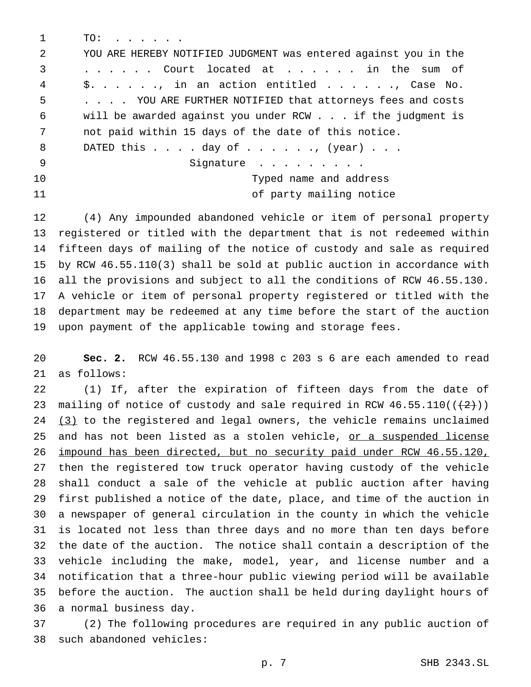TO: . . . . . . YOU ARE HEREBY NOTIFIED JUDGMENT was entered against you in the ...... Court located at . . . . . . in the sum of \$. . . . . ., in an action entitled . . . . . ., Case No. . . . . YOU ARE FURTHER NOTIFIED that attorneys fees and costs will be awarded against you under RCW . . . if the judgment is not paid within 15 days of the date of this notice. 8 DATED this . . . . day of . . . . . . , (year) . . . 9 Signature ......... Typed name and address 11 of party mailing notice

 (4) Any impounded abandoned vehicle or item of personal property registered or titled with the department that is not redeemed within fifteen days of mailing of the notice of custody and sale as required by RCW 46.55.110(3) shall be sold at public auction in accordance with all the provisions and subject to all the conditions of RCW 46.55.130. A vehicle or item of personal property registered or titled with the department may be redeemed at any time before the start of the auction upon payment of the applicable towing and storage fees.

 **Sec. 2.** RCW 46.55.130 and 1998 c 203 s 6 are each amended to read as follows:

 (1) If, after the expiration of fifteen days from the date of 23 mailing of notice of custody and sale required in RCW  $46.55.110((\leftarrow{2}))$ 24 (3) to the registered and legal owners, the vehicle remains unclaimed 25 and has not been listed as a stolen vehicle, or a suspended license impound has been directed, but no security paid under RCW 46.55.120, then the registered tow truck operator having custody of the vehicle shall conduct a sale of the vehicle at public auction after having first published a notice of the date, place, and time of the auction in a newspaper of general circulation in the county in which the vehicle is located not less than three days and no more than ten days before the date of the auction. The notice shall contain a description of the vehicle including the make, model, year, and license number and a notification that a three-hour public viewing period will be available before the auction. The auction shall be held during daylight hours of a normal business day.

 (2) The following procedures are required in any public auction of such abandoned vehicles: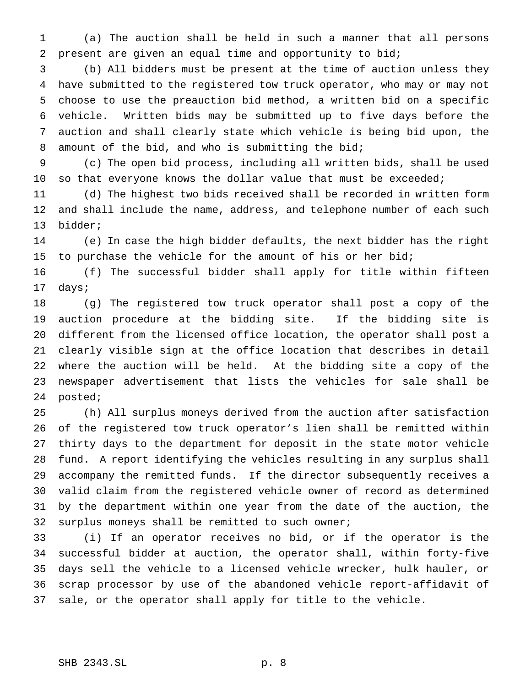(a) The auction shall be held in such a manner that all persons present are given an equal time and opportunity to bid;

 (b) All bidders must be present at the time of auction unless they have submitted to the registered tow truck operator, who may or may not choose to use the preauction bid method, a written bid on a specific vehicle. Written bids may be submitted up to five days before the auction and shall clearly state which vehicle is being bid upon, the 8 amount of the bid, and who is submitting the bid;

 (c) The open bid process, including all written bids, shall be used 10 so that everyone knows the dollar value that must be exceeded;

 (d) The highest two bids received shall be recorded in written form and shall include the name, address, and telephone number of each such bidder;

 (e) In case the high bidder defaults, the next bidder has the right 15 to purchase the vehicle for the amount of his or her bid;

 (f) The successful bidder shall apply for title within fifteen days;

 (g) The registered tow truck operator shall post a copy of the auction procedure at the bidding site. If the bidding site is different from the licensed office location, the operator shall post a clearly visible sign at the office location that describes in detail where the auction will be held. At the bidding site a copy of the newspaper advertisement that lists the vehicles for sale shall be posted;

 (h) All surplus moneys derived from the auction after satisfaction of the registered tow truck operator's lien shall be remitted within thirty days to the department for deposit in the state motor vehicle fund. A report identifying the vehicles resulting in any surplus shall accompany the remitted funds. If the director subsequently receives a valid claim from the registered vehicle owner of record as determined by the department within one year from the date of the auction, the surplus moneys shall be remitted to such owner;

 (i) If an operator receives no bid, or if the operator is the successful bidder at auction, the operator shall, within forty-five days sell the vehicle to a licensed vehicle wrecker, hulk hauler, or scrap processor by use of the abandoned vehicle report-affidavit of sale, or the operator shall apply for title to the vehicle.